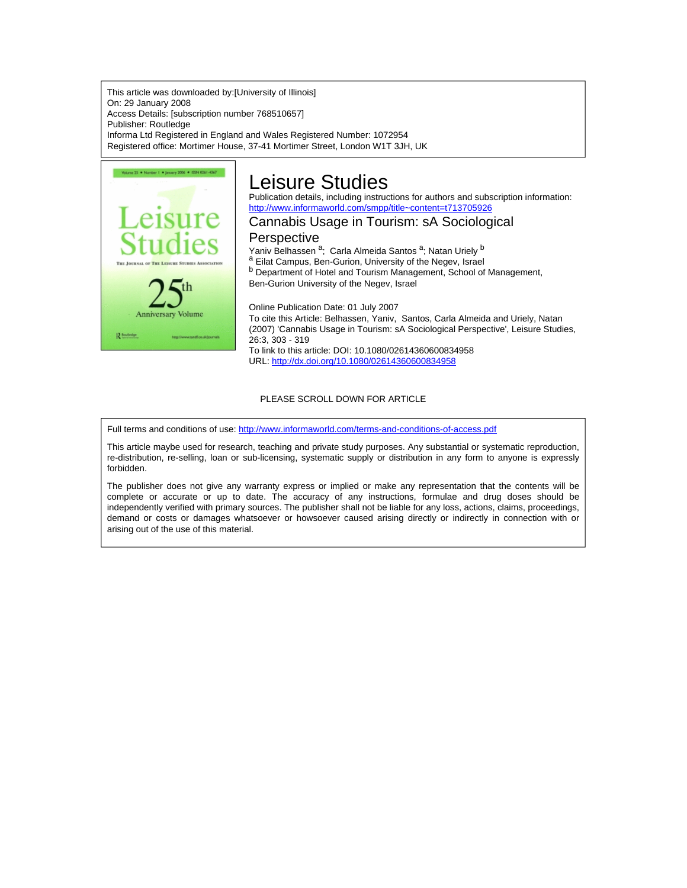This article was downloaded by:[University of Illinois] On: 29 January 2008 Access Details: [subscription number 768510657] Publisher: Routledge Informa Ltd Registered in England and Wales Registered Number: 1072954 Registered office: Mortimer House, 37-41 Mortimer Street, London W1T 3JH, UK



# Leisure Studies

Publication details, including instructions for authors and subscription information: <http://www.informaworld.com/smpp/title~content=t713705926>

Cannabis Usage in Tourism: sA Sociological

# **Perspective**

Yaniv Belhassen <sup>a</sup>; Carla Almeida Santos <sup>a</sup>; Natan Uriely <sup>b</sup>

a Eilat Campus, Ben-Gurion, University of the Negev, Israel

b Department of Hotel and Tourism Management, School of Management, Ben-Gurion University of the Negev, Israel

Online Publication Date: 01 July 2007 To cite this Article: Belhassen, Yaniv, Santos, Carla Almeida and Uriely, Natan (2007) 'Cannabis Usage in Tourism: sA Sociological Perspective', Leisure Studies, 26:3, 303 - 319 To link to this article: DOI: 10.1080/02614360600834958 URL: <http://dx.doi.org/10.1080/02614360600834958>

#### PLEASE SCROLL DOWN FOR ARTICLE

Full terms and conditions of use: <http://www.informaworld.com/terms-and-conditions-of-access.pdf>

This article maybe used for research, teaching and private study purposes. Any substantial or systematic reproduction, re-distribution, re-selling, loan or sub-licensing, systematic supply or distribution in any form to anyone is expressly forbidden.

The publisher does not give any warranty express or implied or make any representation that the contents will be complete or accurate or up to date. The accuracy of any instructions, formulae and drug doses should be independently verified with primary sources. The publisher shall not be liable for any loss, actions, claims, proceedings, demand or costs or damages whatsoever or howsoever caused arising directly or indirectly in connection with or arising out of the use of this material.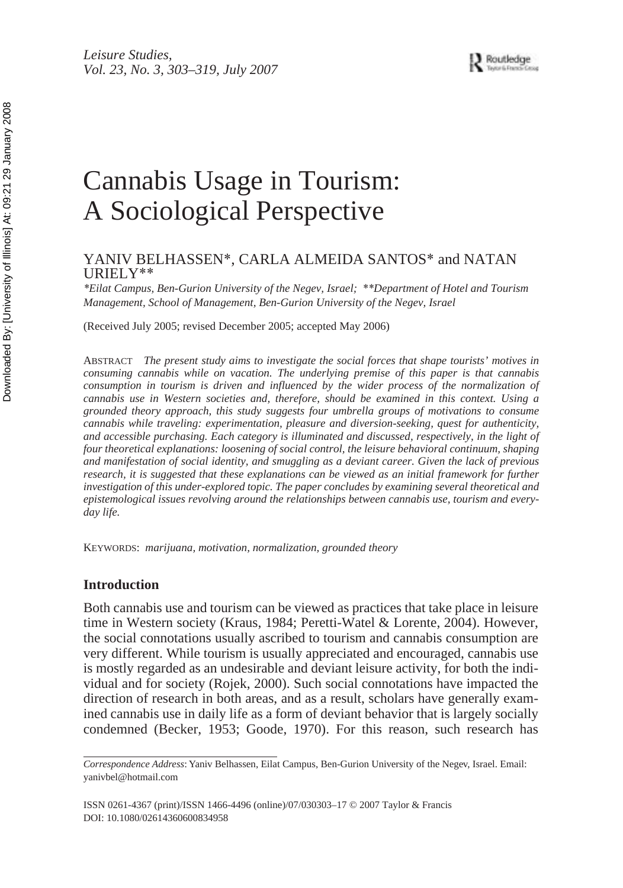# Cannabis Usage in Tourism: A Sociological Perspective

## YANIV BELHASSEN\*, CARLA ALMEIDA SANTOS\* and NATAN URIELY\*\*

*\*Eilat Campus, Ben-Gurion University of the Negev, Israel; \*\*Department of Hotel and Tourism Management, School of Management, Ben-Gurion University of the Negev, Israel*

(Received July 2005; revised December 2005; accepted May 2006)

ABSTRACT *The present study aims to investigate the social forces that shape tourists' motives in consuming cannabis while on vacation. The underlying premise of this paper is that cannabis consumption in tourism is driven and influenced by the wider process of the normalization of cannabis use in Western societies and, therefore, should be examined in this context. Using a grounded theory approach, this study suggests four umbrella groups of motivations to consume cannabis while traveling: experimentation, pleasure and diversion-seeking, quest for authenticity, and accessible purchasing. Each category is illuminated and discussed, respectively, in the light of four theoretical explanations: loosening of social control, the leisure behavioral continuum, shaping and manifestation of social identity, and smuggling as a deviant career. Given the lack of previous research, it is suggested that these explanations can be viewed as an initial framework for further investigation of this under-explored topic. The paper concludes by examining several theoretical and epistemological issues revolving around the relationships between cannabis use, tourism and everyday life.*

KEYWORDS: *marijuana, motivation, normalization, grounded theory*

#### **Introduction**

Both cannabis use and tourism can be viewed as practices that take place in leisure time in Western society (Kraus, 1984; Peretti-Watel & Lorente, 2004). However, the social connotations usually ascribed to tourism and cannabis consumption are very different. While tourism is usually appreciated and encouraged, cannabis use is mostly regarded as an undesirable and deviant leisure activity, for both the individual and for society (Rojek, 2000). Such social connotations have impacted the direction of research in both areas, and as a result, scholars have generally examined cannabis use in daily life as a form of deviant behavior that is largely socially condemned (Becker, 1953; Goode, 1970). For this reason, such research has

*Correspondence Address*: Yaniv Belhassen, Eilat Campus, Ben-Gurion University of the Negev, Israel. Email: yanivbel@hotmail.com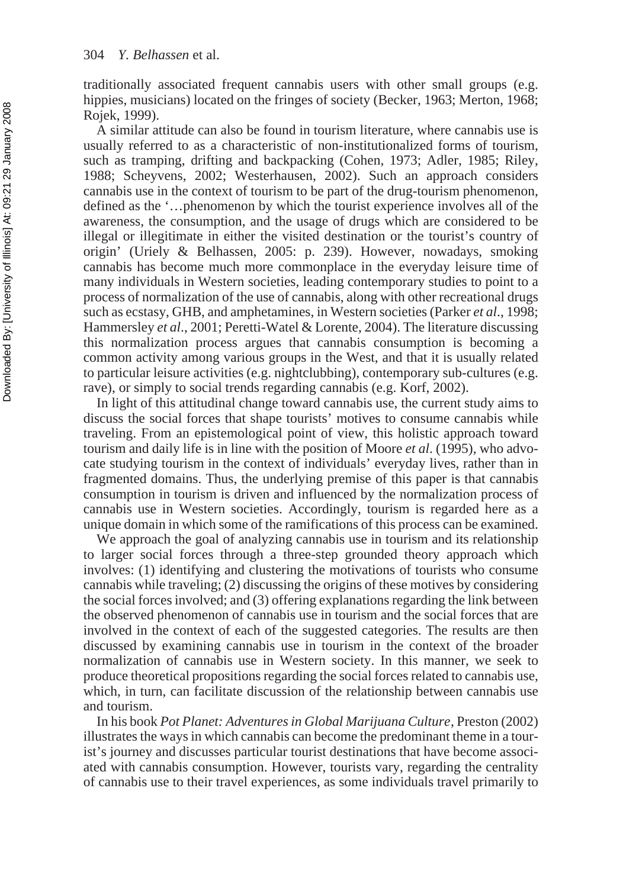traditionally associated frequent cannabis users with other small groups (e.g. hippies, musicians) located on the fringes of society (Becker, 1963; Merton, 1968; Rojek, 1999).

A similar attitude can also be found in tourism literature, where cannabis use is usually referred to as a characteristic of non-institutionalized forms of tourism, such as tramping, drifting and backpacking (Cohen, 1973; Adler, 1985; Riley, 1988; Scheyvens, 2002; Westerhausen, 2002). Such an approach considers cannabis use in the context of tourism to be part of the drug-tourism phenomenon, defined as the '…phenomenon by which the tourist experience involves all of the awareness, the consumption, and the usage of drugs which are considered to be illegal or illegitimate in either the visited destination or the tourist's country of origin' (Uriely & Belhassen, 2005: p. 239). However, nowadays, smoking cannabis has become much more commonplace in the everyday leisure time of many individuals in Western societies, leading contemporary studies to point to a process of normalization of the use of cannabis, along with other recreational drugs such as ecstasy, GHB, and amphetamines, in Western societies (Parker *et al*., 1998; Hammersley *et al*., 2001; Peretti-Watel & Lorente, 2004). The literature discussing this normalization process argues that cannabis consumption is becoming a common activity among various groups in the West, and that it is usually related to particular leisure activities (e.g. nightclubbing), contemporary sub-cultures (e.g. rave), or simply to social trends regarding cannabis (e.g. Korf, 2002).

In light of this attitudinal change toward cannabis use, the current study aims to discuss the social forces that shape tourists' motives to consume cannabis while traveling. From an epistemological point of view, this holistic approach toward tourism and daily life is in line with the position of Moore *et al*. (1995), who advocate studying tourism in the context of individuals' everyday lives, rather than in fragmented domains. Thus, the underlying premise of this paper is that cannabis consumption in tourism is driven and influenced by the normalization process of cannabis use in Western societies. Accordingly, tourism is regarded here as a unique domain in which some of the ramifications of this process can be examined.

We approach the goal of analyzing cannabis use in tourism and its relationship to larger social forces through a three-step grounded theory approach which involves: (1) identifying and clustering the motivations of tourists who consume cannabis while traveling; (2) discussing the origins of these motives by considering the social forces involved; and (3) offering explanations regarding the link between the observed phenomenon of cannabis use in tourism and the social forces that are involved in the context of each of the suggested categories. The results are then discussed by examining cannabis use in tourism in the context of the broader normalization of cannabis use in Western society. In this manner, we seek to produce theoretical propositions regarding the social forces related to cannabis use, which, in turn, can facilitate discussion of the relationship between cannabis use and tourism.

In his book *Pot Planet: Adventures in Global Marijuana Culture*, Preston (2002) illustrates the ways in which cannabis can become the predominant theme in a tourist's journey and discusses particular tourist destinations that have become associated with cannabis consumption. However, tourists vary, regarding the centrality of cannabis use to their travel experiences, as some individuals travel primarily to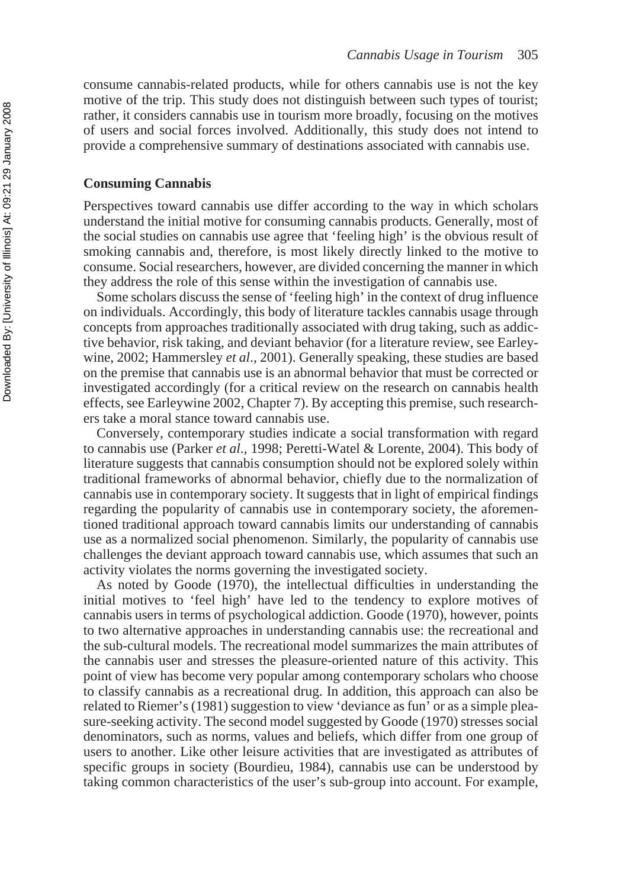consume cannabis-related products, while for others cannabis use is not the key motive of the trip. This study does not distinguish between such types of tourist; rather, it considers cannabis use in tourism more broadly, focusing on the motives of users and social forces involved. Additionally, this study does not intend to provide a comprehensive summary of destinations associated with cannabis use.

#### **Consuming Cannabis**

Perspectives toward cannabis use differ according to the way in which scholars understand the initial motive for consuming cannabis products. Generally, most of the social studies on cannabis use agree that 'feeling high' is the obvious result of smoking cannabis and, therefore, is most likely directly linked to the motive to consume. Social researchers, however, are divided concerning the manner in which they address the role of this sense within the investigation of cannabis use.

Some scholars discuss the sense of 'feeling high' in the context of drug influence on individuals. Accordingly, this body of literature tackles cannabis usage through concepts from approaches traditionally associated with drug taking, such as addictive behavior, risk taking, and deviant behavior (for a literature review, see Earleywine, 2002; Hammersley *et al*., 2001). Generally speaking, these studies are based on the premise that cannabis use is an abnormal behavior that must be corrected or investigated accordingly (for a critical review on the research on cannabis health effects, see Earleywine 2002, Chapter 7). By accepting this premise, such researchers take a moral stance toward cannabis use.

Conversely, contemporary studies indicate a social transformation with regard to cannabis use (Parker *et al*., 1998; Peretti-Watel & Lorente, 2004). This body of literature suggests that cannabis consumption should not be explored solely within traditional frameworks of abnormal behavior, chiefly due to the normalization of cannabis use in contemporary society. It suggests that in light of empirical findings regarding the popularity of cannabis use in contemporary society, the aforementioned traditional approach toward cannabis limits our understanding of cannabis use as a normalized social phenomenon. Similarly, the popularity of cannabis use challenges the deviant approach toward cannabis use, which assumes that such an activity violates the norms governing the investigated society.

As noted by Goode (1970), the intellectual difficulties in understanding the initial motives to 'feel high' have led to the tendency to explore motives of cannabis users in terms of psychological addiction. Goode (1970), however, points to two alternative approaches in understanding cannabis use: the recreational and the sub-cultural models. The recreational model summarizes the main attributes of the cannabis user and stresses the pleasure-oriented nature of this activity. This point of view has become very popular among contemporary scholars who choose to classify cannabis as a recreational drug. In addition, this approach can also be related to Riemer's (1981) suggestion to view 'deviance as fun' or as a simple pleasure-seeking activity. The second model suggested by Goode (1970) stresses social denominators, such as norms, values and beliefs, which differ from one group of users to another. Like other leisure activities that are investigated as attributes of specific groups in society (Bourdieu, 1984), cannabis use can be understood by taking common characteristics of the user's sub-group into account. For example,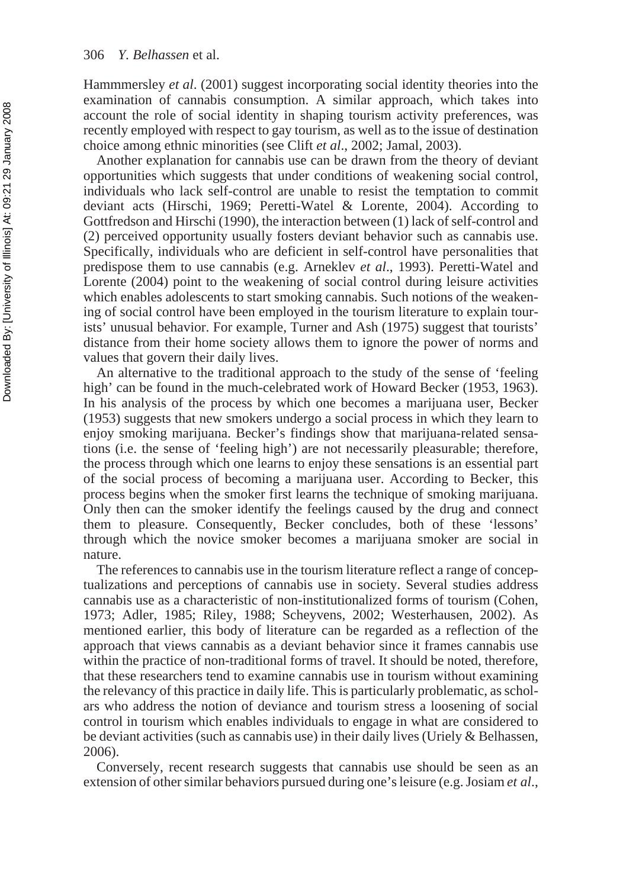Hammmersley *et al*. (2001) suggest incorporating social identity theories into the examination of cannabis consumption. A similar approach, which takes into account the role of social identity in shaping tourism activity preferences, was recently employed with respect to gay tourism, as well as to the issue of destination choice among ethnic minorities (see Clift *et al*., 2002; Jamal, 2003).

Another explanation for cannabis use can be drawn from the theory of deviant opportunities which suggests that under conditions of weakening social control, individuals who lack self-control are unable to resist the temptation to commit deviant acts (Hirschi, 1969; Peretti-Watel & Lorente, 2004). According to Gottfredson and Hirschi (1990), the interaction between (1) lack of self-control and (2) perceived opportunity usually fosters deviant behavior such as cannabis use. Specifically, individuals who are deficient in self-control have personalities that predispose them to use cannabis (e.g. Arneklev *et al*., 1993). Peretti-Watel and Lorente (2004) point to the weakening of social control during leisure activities which enables adolescents to start smoking cannabis. Such notions of the weakening of social control have been employed in the tourism literature to explain tourists' unusual behavior. For example, Turner and Ash (1975) suggest that tourists' distance from their home society allows them to ignore the power of norms and values that govern their daily lives.

An alternative to the traditional approach to the study of the sense of 'feeling high' can be found in the much-celebrated work of Howard Becker (1953, 1963). In his analysis of the process by which one becomes a marijuana user, Becker (1953) suggests that new smokers undergo a social process in which they learn to enjoy smoking marijuana. Becker's findings show that marijuana-related sensations (i.e. the sense of 'feeling high') are not necessarily pleasurable; therefore, the process through which one learns to enjoy these sensations is an essential part of the social process of becoming a marijuana user. According to Becker, this process begins when the smoker first learns the technique of smoking marijuana. Only then can the smoker identify the feelings caused by the drug and connect them to pleasure. Consequently, Becker concludes, both of these 'lessons' through which the novice smoker becomes a marijuana smoker are social in nature.

The references to cannabis use in the tourism literature reflect a range of conceptualizations and perceptions of cannabis use in society. Several studies address cannabis use as a characteristic of non-institutionalized forms of tourism (Cohen, 1973; Adler, 1985; Riley, 1988; Scheyvens, 2002; Westerhausen, 2002). As mentioned earlier, this body of literature can be regarded as a reflection of the approach that views cannabis as a deviant behavior since it frames cannabis use within the practice of non-traditional forms of travel. It should be noted, therefore, that these researchers tend to examine cannabis use in tourism without examining the relevancy of this practice in daily life. This is particularly problematic, as scholars who address the notion of deviance and tourism stress a loosening of social control in tourism which enables individuals to engage in what are considered to be deviant activities (such as cannabis use) in their daily lives (Uriely  $\&$  Belhassen, 2006).

Conversely, recent research suggests that cannabis use should be seen as an extension of other similar behaviors pursued during one's leisure (e.g. Josiam *et al*.,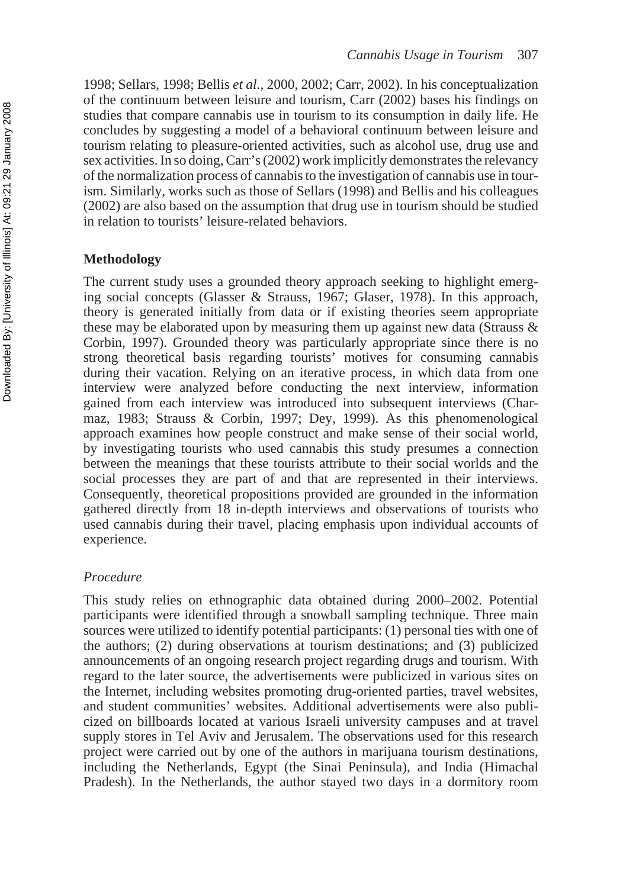1998; Sellars, 1998; Bellis *et al*., 2000, 2002; Carr, 2002). In his conceptualization of the continuum between leisure and tourism, Carr (2002) bases his findings on studies that compare cannabis use in tourism to its consumption in daily life. He concludes by suggesting a model of a behavioral continuum between leisure and tourism relating to pleasure-oriented activities, such as alcohol use, drug use and sex activities. In so doing, Carr's (2002) work implicitly demonstrates the relevancy of the normalization process of cannabis to the investigation of cannabis use in tourism. Similarly, works such as those of Sellars (1998) and Bellis and his colleagues (2002) are also based on the assumption that drug use in tourism should be studied in relation to tourists' leisure-related behaviors.

# **Methodology**

The current study uses a grounded theory approach seeking to highlight emerging social concepts (Glasser & Strauss, 1967; Glaser, 1978). In this approach, theory is generated initially from data or if existing theories seem appropriate these may be elaborated upon by measuring them up against new data (Strauss & Corbin, 1997). Grounded theory was particularly appropriate since there is no strong theoretical basis regarding tourists' motives for consuming cannabis during their vacation. Relying on an iterative process, in which data from one interview were analyzed before conducting the next interview, information gained from each interview was introduced into subsequent interviews (Charmaz, 1983; Strauss & Corbin, 1997; Dey, 1999). As this phenomenological approach examines how people construct and make sense of their social world, by investigating tourists who used cannabis this study presumes a connection between the meanings that these tourists attribute to their social worlds and the social processes they are part of and that are represented in their interviews. Consequently, theoretical propositions provided are grounded in the information gathered directly from 18 in-depth interviews and observations of tourists who used cannabis during their travel, placing emphasis upon individual accounts of experience.

# *Procedure*

This study relies on ethnographic data obtained during 2000–2002. Potential participants were identified through a snowball sampling technique. Three main sources were utilized to identify potential participants: (1) personal ties with one of the authors; (2) during observations at tourism destinations; and (3) publicized announcements of an ongoing research project regarding drugs and tourism. With regard to the later source, the advertisements were publicized in various sites on the Internet, including websites promoting drug-oriented parties, travel websites, and student communities' websites. Additional advertisements were also publicized on billboards located at various Israeli university campuses and at travel supply stores in Tel Aviv and Jerusalem. The observations used for this research project were carried out by one of the authors in marijuana tourism destinations, including the Netherlands, Egypt (the Sinai Peninsula), and India (Himachal Pradesh). In the Netherlands, the author stayed two days in a dormitory room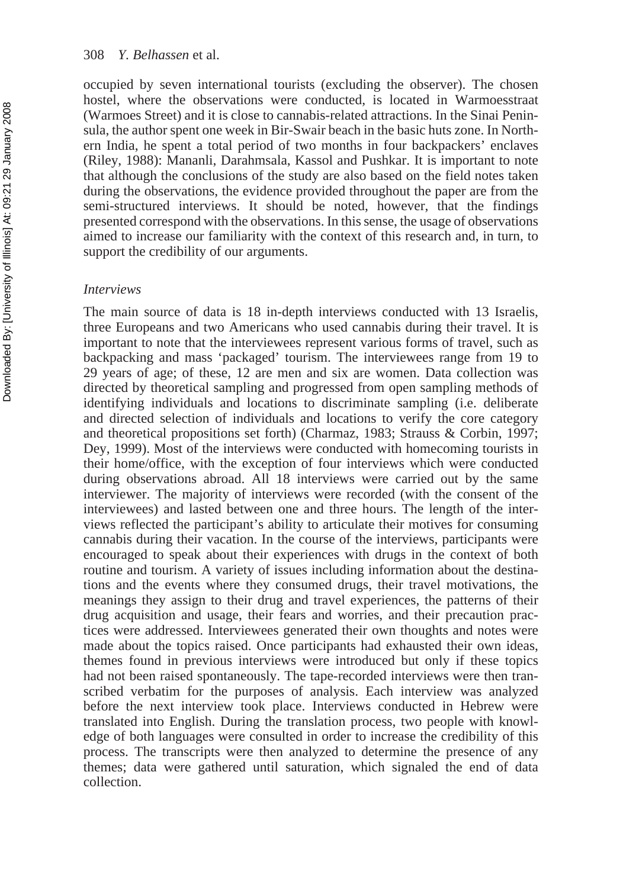occupied by seven international tourists (excluding the observer). The chosen hostel, where the observations were conducted, is located in Warmoesstraat (Warmoes Street) and it is close to cannabis-related attractions. In the Sinai Peninsula, the author spent one week in Bir-Swair beach in the basic huts zone. In Northern India, he spent a total period of two months in four backpackers' enclaves (Riley, 1988): Mananli, Darahmsala, Kassol and Pushkar. It is important to note that although the conclusions of the study are also based on the field notes taken during the observations, the evidence provided throughout the paper are from the semi-structured interviews. It should be noted, however, that the findings presented correspond with the observations. In this sense, the usage of observations aimed to increase our familiarity with the context of this research and, in turn, to support the credibility of our arguments.

#### *Interviews*

The main source of data is 18 in-depth interviews conducted with 13 Israelis, three Europeans and two Americans who used cannabis during their travel. It is important to note that the interviewees represent various forms of travel, such as backpacking and mass 'packaged' tourism. The interviewees range from 19 to 29 years of age; of these, 12 are men and six are women. Data collection was directed by theoretical sampling and progressed from open sampling methods of identifying individuals and locations to discriminate sampling (i.e. deliberate and directed selection of individuals and locations to verify the core category and theoretical propositions set forth) (Charmaz, 1983; Strauss & Corbin, 1997; Dey, 1999). Most of the interviews were conducted with homecoming tourists in their home/office, with the exception of four interviews which were conducted during observations abroad. All 18 interviews were carried out by the same interviewer. The majority of interviews were recorded (with the consent of the interviewees) and lasted between one and three hours. The length of the interviews reflected the participant's ability to articulate their motives for consuming cannabis during their vacation. In the course of the interviews, participants were encouraged to speak about their experiences with drugs in the context of both routine and tourism. A variety of issues including information about the destinations and the events where they consumed drugs, their travel motivations, the meanings they assign to their drug and travel experiences, the patterns of their drug acquisition and usage, their fears and worries, and their precaution practices were addressed. Interviewees generated their own thoughts and notes were made about the topics raised. Once participants had exhausted their own ideas, themes found in previous interviews were introduced but only if these topics had not been raised spontaneously. The tape-recorded interviews were then transcribed verbatim for the purposes of analysis. Each interview was analyzed before the next interview took place. Interviews conducted in Hebrew were translated into English. During the translation process, two people with knowledge of both languages were consulted in order to increase the credibility of this process. The transcripts were then analyzed to determine the presence of any themes; data were gathered until saturation, which signaled the end of data collection.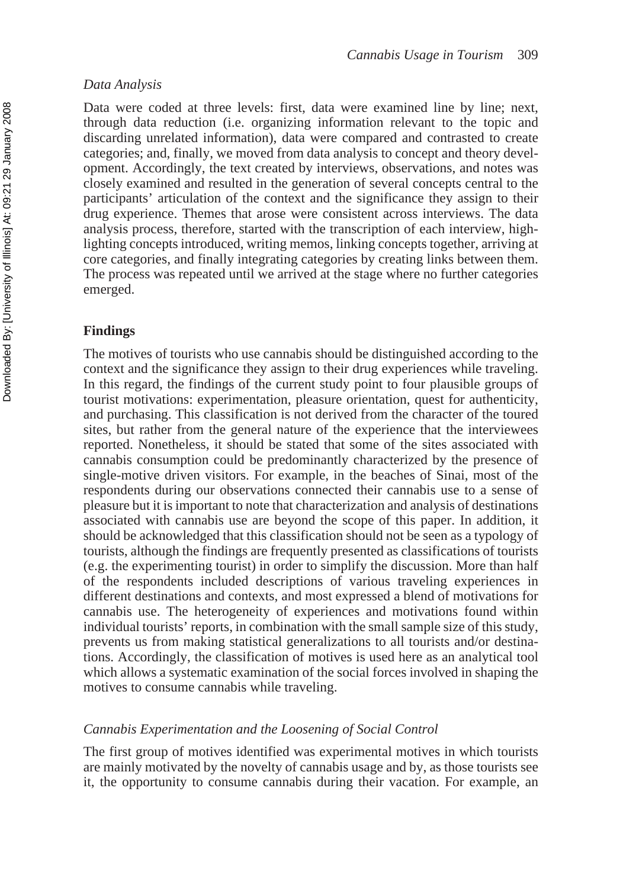#### *Data Analysis*

Data were coded at three levels: first, data were examined line by line; next, through data reduction (i.e. organizing information relevant to the topic and discarding unrelated information), data were compared and contrasted to create categories; and, finally, we moved from data analysis to concept and theory development. Accordingly, the text created by interviews, observations, and notes was closely examined and resulted in the generation of several concepts central to the participants' articulation of the context and the significance they assign to their drug experience. Themes that arose were consistent across interviews. The data analysis process, therefore, started with the transcription of each interview, highlighting concepts introduced, writing memos, linking concepts together, arriving at core categories, and finally integrating categories by creating links between them. The process was repeated until we arrived at the stage where no further categories emerged.

#### **Findings**

The motives of tourists who use cannabis should be distinguished according to the context and the significance they assign to their drug experiences while traveling. In this regard, the findings of the current study point to four plausible groups of tourist motivations: experimentation, pleasure orientation, quest for authenticity, and purchasing. This classification is not derived from the character of the toured sites, but rather from the general nature of the experience that the interviewees reported. Nonetheless, it should be stated that some of the sites associated with cannabis consumption could be predominantly characterized by the presence of single-motive driven visitors. For example, in the beaches of Sinai, most of the respondents during our observations connected their cannabis use to a sense of pleasure but it is important to note that characterization and analysis of destinations associated with cannabis use are beyond the scope of this paper. In addition, it should be acknowledged that this classification should not be seen as a typology of tourists, although the findings are frequently presented as classifications of tourists (e.g. the experimenting tourist) in order to simplify the discussion. More than half of the respondents included descriptions of various traveling experiences in different destinations and contexts, and most expressed a blend of motivations for cannabis use. The heterogeneity of experiences and motivations found within individual tourists' reports, in combination with the small sample size of this study, prevents us from making statistical generalizations to all tourists and/or destinations. Accordingly, the classification of motives is used here as an analytical tool which allows a systematic examination of the social forces involved in shaping the motives to consume cannabis while traveling.

#### *Cannabis Experimentation and the Loosening of Social Control*

The first group of motives identified was experimental motives in which tourists are mainly motivated by the novelty of cannabis usage and by, as those tourists see it, the opportunity to consume cannabis during their vacation. For example, an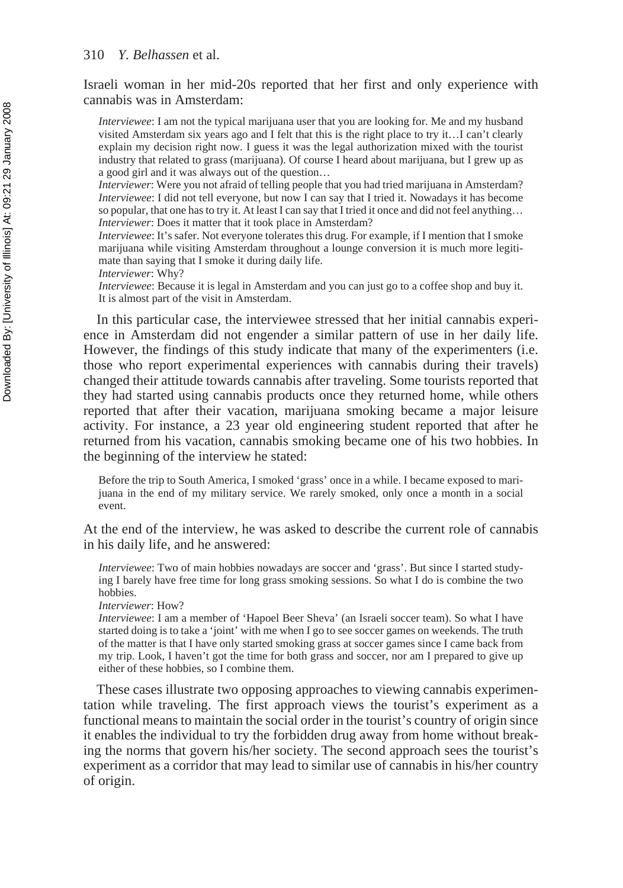#### 310 *Y. Belhassen* et al.

Israeli woman in her mid-20s reported that her first and only experience with cannabis was in Amsterdam:

*Interviewee*: I am not the typical marijuana user that you are looking for. Me and my husband visited Amsterdam six years ago and I felt that this is the right place to try it…I can't clearly explain my decision right now. I guess it was the legal authorization mixed with the tourist industry that related to grass (marijuana). Of course I heard about marijuana, but I grew up as a good girl and it was always out of the question…

*Interviewer*: Were you not afraid of telling people that you had tried marijuana in Amsterdam? *Interviewee*: I did not tell everyone, but now I can say that I tried it. Nowadays it has become so popular, that one has to try it. At least I can say that I tried it once and did not feel anything... *Interviewer*: Does it matter that it took place in Amsterdam?

*Interviewee*: It's safer. Not everyone tolerates this drug. For example, if I mention that I smoke marijuana while visiting Amsterdam throughout a lounge conversion it is much more legitimate than saying that I smoke it during daily life.

*Interviewer*: Why?

*Interviewee*: Because it is legal in Amsterdam and you can just go to a coffee shop and buy it. It is almost part of the visit in Amsterdam.

In this particular case, the interviewee stressed that her initial cannabis experience in Amsterdam did not engender a similar pattern of use in her daily life. However, the findings of this study indicate that many of the experimenters (i.e. those who report experimental experiences with cannabis during their travels) changed their attitude towards cannabis after traveling. Some tourists reported that they had started using cannabis products once they returned home, while others reported that after their vacation, marijuana smoking became a major leisure activity. For instance, a 23 year old engineering student reported that after he returned from his vacation, cannabis smoking became one of his two hobbies. In the beginning of the interview he stated:

Before the trip to South America, I smoked 'grass' once in a while. I became exposed to marijuana in the end of my military service. We rarely smoked, only once a month in a social event.

At the end of the interview, he was asked to describe the current role of cannabis in his daily life, and he answered:

*Interviewee*: Two of main hobbies nowadays are soccer and 'grass'. But since I started studying I barely have free time for long grass smoking sessions. So what I do is combine the two hobbies.

*Interviewer*: How?

*Interviewee*: I am a member of 'Hapoel Beer Sheva' (an Israeli soccer team). So what I have started doing is to take a 'joint' with me when I go to see soccer games on weekends. The truth of the matter is that I have only started smoking grass at soccer games since I came back from my trip. Look, I haven't got the time for both grass and soccer, nor am I prepared to give up either of these hobbies, so I combine them.

These cases illustrate two opposing approaches to viewing cannabis experimentation while traveling. The first approach views the tourist's experiment as a functional means to maintain the social order in the tourist's country of origin since it enables the individual to try the forbidden drug away from home without breaking the norms that govern his/her society. The second approach sees the tourist's experiment as a corridor that may lead to similar use of cannabis in his/her country of origin.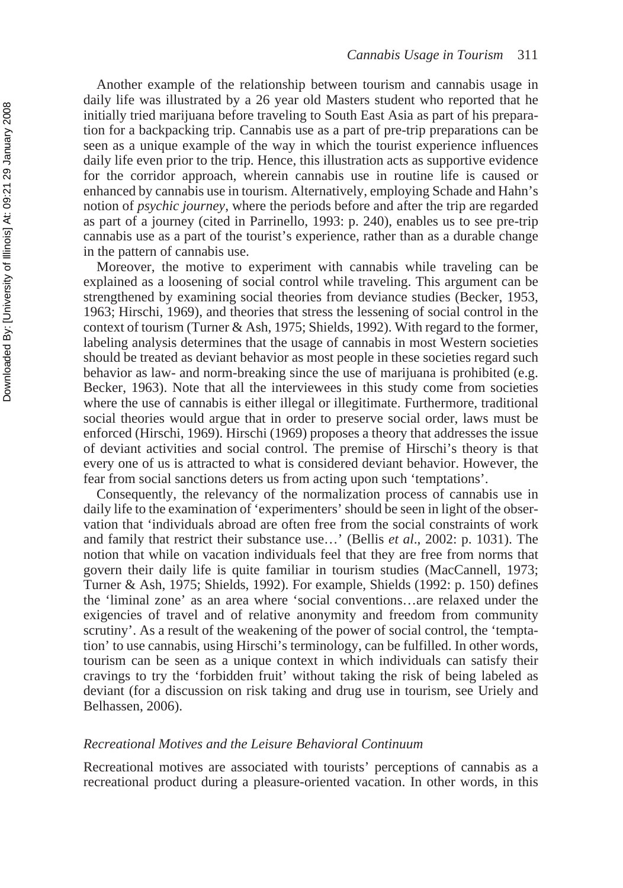Another example of the relationship between tourism and cannabis usage in daily life was illustrated by a 26 year old Masters student who reported that he initially tried marijuana before traveling to South East Asia as part of his preparation for a backpacking trip. Cannabis use as a part of pre-trip preparations can be seen as a unique example of the way in which the tourist experience influences daily life even prior to the trip. Hence, this illustration acts as supportive evidence for the corridor approach, wherein cannabis use in routine life is caused or enhanced by cannabis use in tourism. Alternatively, employing Schade and Hahn's notion of *psychic journey*, where the periods before and after the trip are regarded as part of a journey (cited in Parrinello, 1993: p. 240), enables us to see pre-trip cannabis use as a part of the tourist's experience, rather than as a durable change in the pattern of cannabis use.

Moreover, the motive to experiment with cannabis while traveling can be explained as a loosening of social control while traveling. This argument can be strengthened by examining social theories from deviance studies (Becker, 1953, 1963; Hirschi, 1969), and theories that stress the lessening of social control in the context of tourism (Turner & Ash, 1975; Shields, 1992). With regard to the former, labeling analysis determines that the usage of cannabis in most Western societies should be treated as deviant behavior as most people in these societies regard such behavior as law- and norm-breaking since the use of marijuana is prohibited (e.g. Becker, 1963). Note that all the interviewees in this study come from societies where the use of cannabis is either illegal or illegitimate. Furthermore, traditional social theories would argue that in order to preserve social order, laws must be enforced (Hirschi, 1969). Hirschi (1969) proposes a theory that addresses the issue of deviant activities and social control. The premise of Hirschi's theory is that every one of us is attracted to what is considered deviant behavior. However, the fear from social sanctions deters us from acting upon such 'temptations'.

Consequently, the relevancy of the normalization process of cannabis use in daily life to the examination of 'experimenters' should be seen in light of the observation that 'individuals abroad are often free from the social constraints of work and family that restrict their substance use…' (Bellis *et al*., 2002: p. 1031). The notion that while on vacation individuals feel that they are free from norms that govern their daily life is quite familiar in tourism studies (MacCannell, 1973; Turner & Ash, 1975; Shields, 1992). For example, Shields (1992: p. 150) defines the 'liminal zone' as an area where 'social conventions…are relaxed under the exigencies of travel and of relative anonymity and freedom from community scrutiny'. As a result of the weakening of the power of social control, the 'temptation' to use cannabis, using Hirschi's terminology, can be fulfilled. In other words, tourism can be seen as a unique context in which individuals can satisfy their cravings to try the 'forbidden fruit' without taking the risk of being labeled as deviant (for a discussion on risk taking and drug use in tourism, see Uriely and Belhassen, 2006).

#### *Recreational Motives and the Leisure Behavioral Continuum*

Recreational motives are associated with tourists' perceptions of cannabis as a recreational product during a pleasure-oriented vacation. In other words, in this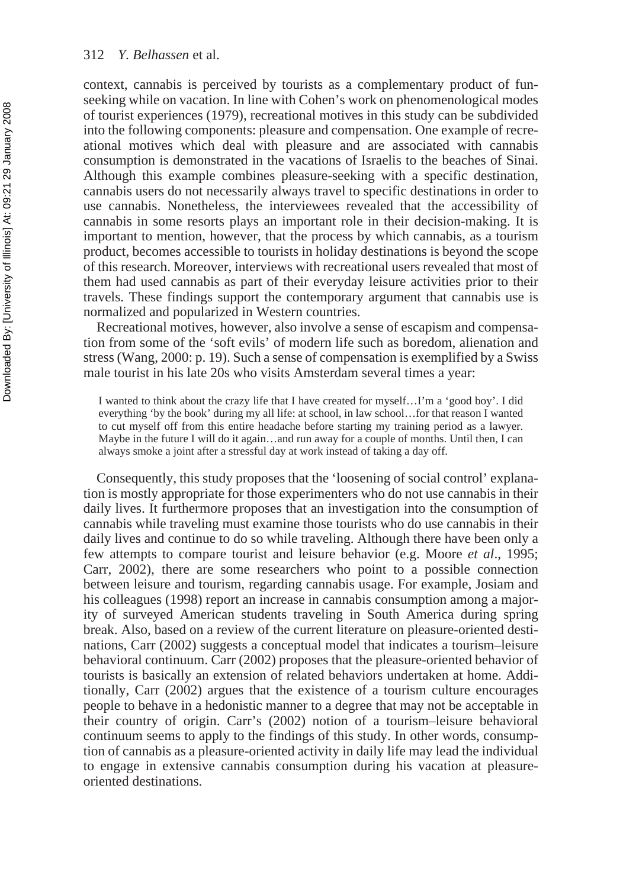context, cannabis is perceived by tourists as a complementary product of funseeking while on vacation. In line with Cohen's work on phenomenological modes of tourist experiences (1979), recreational motives in this study can be subdivided into the following components: pleasure and compensation. One example of recreational motives which deal with pleasure and are associated with cannabis consumption is demonstrated in the vacations of Israelis to the beaches of Sinai. Although this example combines pleasure-seeking with a specific destination, cannabis users do not necessarily always travel to specific destinations in order to use cannabis. Nonetheless, the interviewees revealed that the accessibility of cannabis in some resorts plays an important role in their decision-making. It is important to mention, however, that the process by which cannabis, as a tourism product, becomes accessible to tourists in holiday destinations is beyond the scope of this research. Moreover, interviews with recreational users revealed that most of them had used cannabis as part of their everyday leisure activities prior to their travels. These findings support the contemporary argument that cannabis use is normalized and popularized in Western countries.

Recreational motives, however, also involve a sense of escapism and compensation from some of the 'soft evils' of modern life such as boredom, alienation and stress (Wang, 2000: p. 19). Such a sense of compensation is exemplified by a Swiss male tourist in his late 20s who visits Amsterdam several times a year:

I wanted to think about the crazy life that I have created for myself…I'm a 'good boy'. I did everything 'by the book' during my all life: at school, in law school…for that reason I wanted to cut myself off from this entire headache before starting my training period as a lawyer. Maybe in the future I will do it again…and run away for a couple of months. Until then, I can always smoke a joint after a stressful day at work instead of taking a day off.

Consequently, this study proposes that the 'loosening of social control' explanation is mostly appropriate for those experimenters who do not use cannabis in their daily lives. It furthermore proposes that an investigation into the consumption of cannabis while traveling must examine those tourists who do use cannabis in their daily lives and continue to do so while traveling. Although there have been only a few attempts to compare tourist and leisure behavior (e.g. Moore *et al*., 1995; Carr, 2002), there are some researchers who point to a possible connection between leisure and tourism, regarding cannabis usage. For example, Josiam and his colleagues (1998) report an increase in cannabis consumption among a majority of surveyed American students traveling in South America during spring break. Also, based on a review of the current literature on pleasure-oriented destinations, Carr (2002) suggests a conceptual model that indicates a tourism–leisure behavioral continuum. Carr (2002) proposes that the pleasure-oriented behavior of tourists is basically an extension of related behaviors undertaken at home. Additionally, Carr (2002) argues that the existence of a tourism culture encourages people to behave in a hedonistic manner to a degree that may not be acceptable in their country of origin. Carr's (2002) notion of a tourism–leisure behavioral continuum seems to apply to the findings of this study. In other words, consumption of cannabis as a pleasure-oriented activity in daily life may lead the individual to engage in extensive cannabis consumption during his vacation at pleasureoriented destinations.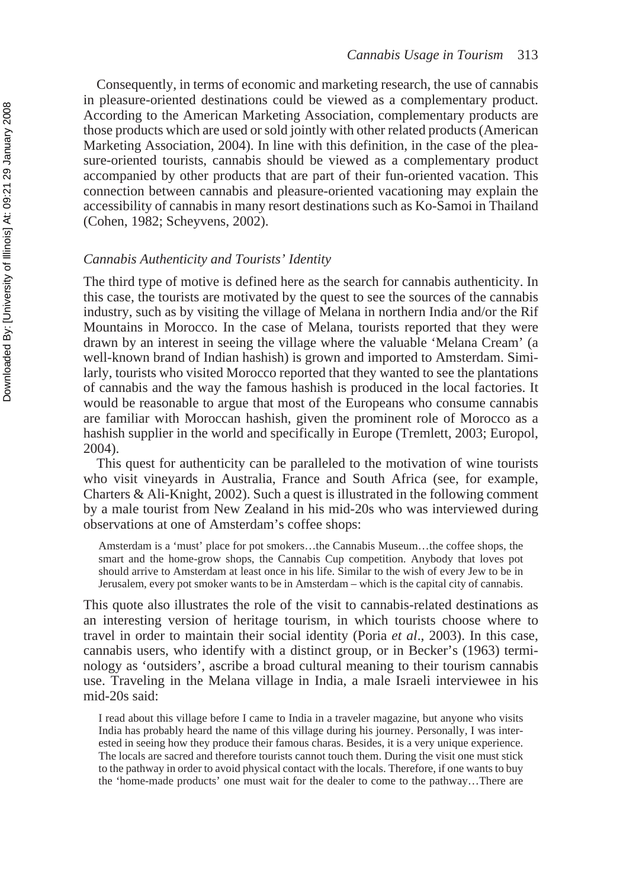Consequently, in terms of economic and marketing research, the use of cannabis in pleasure-oriented destinations could be viewed as a complementary product. According to the American Marketing Association, complementary products are those products which are used or sold jointly with other related products (American Marketing Association, 2004). In line with this definition, in the case of the pleasure-oriented tourists, cannabis should be viewed as a complementary product accompanied by other products that are part of their fun-oriented vacation. This connection between cannabis and pleasure-oriented vacationing may explain the accessibility of cannabis in many resort destinations such as Ko-Samoi in Thailand (Cohen, 1982; Scheyvens, 2002).

## *Cannabis Authenticity and Tourists' Identity*

The third type of motive is defined here as the search for cannabis authenticity. In this case, the tourists are motivated by the quest to see the sources of the cannabis industry, such as by visiting the village of Melana in northern India and/or the Rif Mountains in Morocco. In the case of Melana, tourists reported that they were drawn by an interest in seeing the village where the valuable 'Melana Cream' (a well-known brand of Indian hashish) is grown and imported to Amsterdam. Similarly, tourists who visited Morocco reported that they wanted to see the plantations of cannabis and the way the famous hashish is produced in the local factories. It would be reasonable to argue that most of the Europeans who consume cannabis are familiar with Moroccan hashish, given the prominent role of Morocco as a hashish supplier in the world and specifically in Europe (Tremlett, 2003; Europol, 2004).

This quest for authenticity can be paralleled to the motivation of wine tourists who visit vineyards in Australia, France and South Africa (see, for example, Charters & Ali-Knight, 2002). Such a quest is illustrated in the following comment by a male tourist from New Zealand in his mid-20s who was interviewed during observations at one of Amsterdam's coffee shops:

Amsterdam is a 'must' place for pot smokers…the Cannabis Museum…the coffee shops, the smart and the home-grow shops, the Cannabis Cup competition. Anybody that loves pot should arrive to Amsterdam at least once in his life. Similar to the wish of every Jew to be in Jerusalem, every pot smoker wants to be in Amsterdam – which is the capital city of cannabis.

This quote also illustrates the role of the visit to cannabis-related destinations as an interesting version of heritage tourism, in which tourists choose where to travel in order to maintain their social identity (Poria *et al*., 2003). In this case, cannabis users, who identify with a distinct group, or in Becker's (1963) terminology as 'outsiders', ascribe a broad cultural meaning to their tourism cannabis use. Traveling in the Melana village in India, a male Israeli interviewee in his mid-20s said:

I read about this village before I came to India in a traveler magazine, but anyone who visits India has probably heard the name of this village during his journey. Personally, I was interested in seeing how they produce their famous charas. Besides, it is a very unique experience. The locals are sacred and therefore tourists cannot touch them. During the visit one must stick to the pathway in order to avoid physical contact with the locals. Therefore, if one wants to buy the 'home-made products' one must wait for the dealer to come to the pathway…There are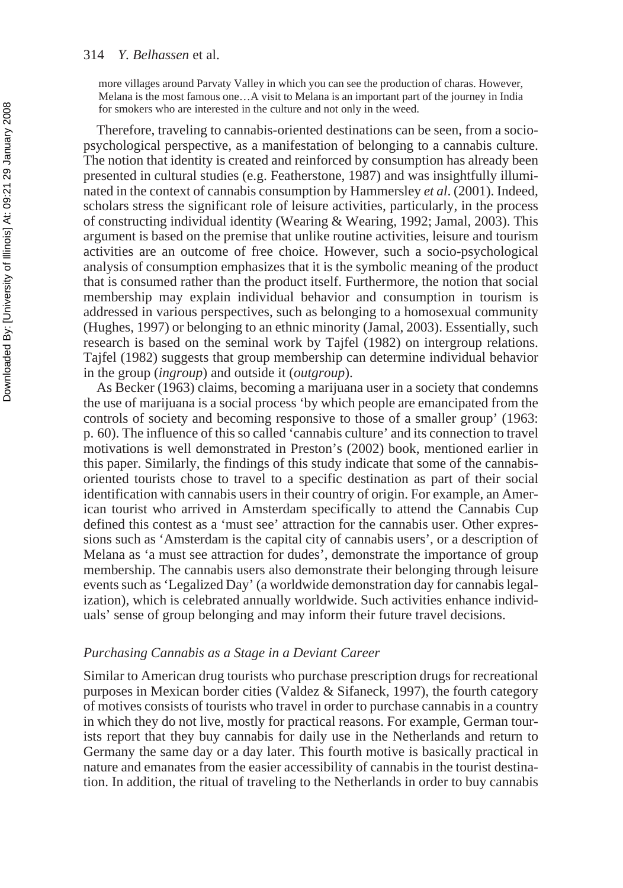#### 314 *Y. Belhassen* et al.

more villages around Parvaty Valley in which you can see the production of charas. However, Melana is the most famous one…A visit to Melana is an important part of the journey in India for smokers who are interested in the culture and not only in the weed.

Therefore, traveling to cannabis-oriented destinations can be seen, from a sociopsychological perspective, as a manifestation of belonging to a cannabis culture. The notion that identity is created and reinforced by consumption has already been presented in cultural studies (e.g. Featherstone, 1987) and was insightfully illuminated in the context of cannabis consumption by Hammersley *et al*. (2001). Indeed, scholars stress the significant role of leisure activities, particularly, in the process of constructing individual identity (Wearing & Wearing, 1992; Jamal, 2003). This argument is based on the premise that unlike routine activities, leisure and tourism activities are an outcome of free choice. However, such a socio-psychological analysis of consumption emphasizes that it is the symbolic meaning of the product that is consumed rather than the product itself. Furthermore, the notion that social membership may explain individual behavior and consumption in tourism is addressed in various perspectives, such as belonging to a homosexual community (Hughes, 1997) or belonging to an ethnic minority (Jamal, 2003). Essentially, such research is based on the seminal work by Tajfel (1982) on intergroup relations. Tajfel (1982) suggests that group membership can determine individual behavior in the group (*ingroup*) and outside it (*outgroup*).

As Becker (1963) claims, becoming a marijuana user in a society that condemns the use of marijuana is a social process 'by which people are emancipated from the controls of society and becoming responsive to those of a smaller group' (1963: p. 60). The influence of this so called 'cannabis culture' and its connection to travel motivations is well demonstrated in Preston's (2002) book, mentioned earlier in this paper. Similarly, the findings of this study indicate that some of the cannabisoriented tourists chose to travel to a specific destination as part of their social identification with cannabis users in their country of origin. For example, an American tourist who arrived in Amsterdam specifically to attend the Cannabis Cup defined this contest as a 'must see' attraction for the cannabis user. Other expressions such as 'Amsterdam is the capital city of cannabis users', or a description of Melana as 'a must see attraction for dudes', demonstrate the importance of group membership. The cannabis users also demonstrate their belonging through leisure events such as 'Legalized Day' (a worldwide demonstration day for cannabis legalization), which is celebrated annually worldwide. Such activities enhance individuals' sense of group belonging and may inform their future travel decisions.

#### *Purchasing Cannabis as a Stage in a Deviant Career*

Similar to American drug tourists who purchase prescription drugs for recreational purposes in Mexican border cities (Valdez & Sifaneck, 1997), the fourth category of motives consists of tourists who travel in order to purchase cannabis in a country in which they do not live, mostly for practical reasons. For example, German tourists report that they buy cannabis for daily use in the Netherlands and return to Germany the same day or a day later. This fourth motive is basically practical in nature and emanates from the easier accessibility of cannabis in the tourist destination. In addition, the ritual of traveling to the Netherlands in order to buy cannabis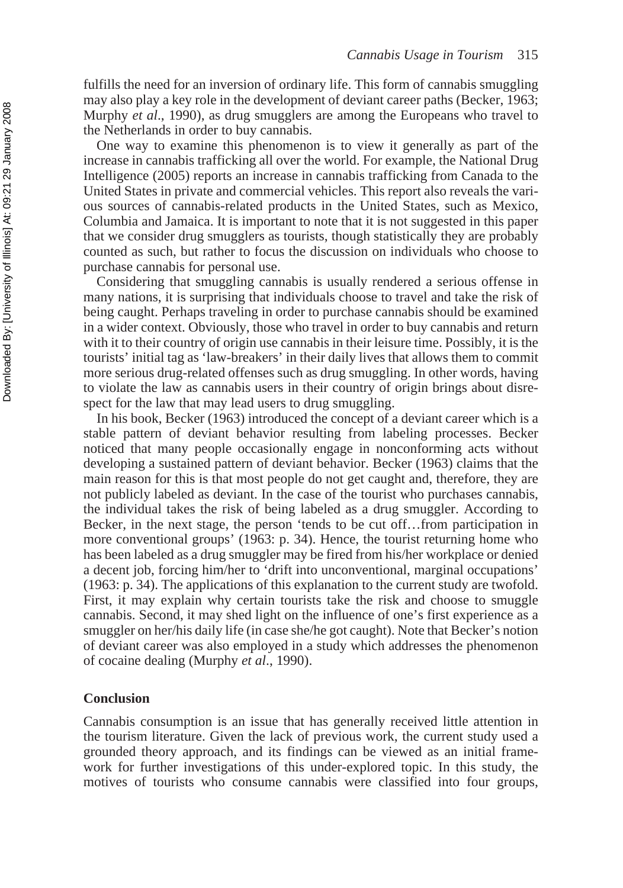fulfills the need for an inversion of ordinary life. This form of cannabis smuggling may also play a key role in the development of deviant career paths (Becker, 1963; Murphy *et al*., 1990), as drug smugglers are among the Europeans who travel to the Netherlands in order to buy cannabis.

One way to examine this phenomenon is to view it generally as part of the increase in cannabis trafficking all over the world. For example, the National Drug Intelligence (2005) reports an increase in cannabis trafficking from Canada to the United States in private and commercial vehicles. This report also reveals the various sources of cannabis-related products in the United States, such as Mexico, Columbia and Jamaica. It is important to note that it is not suggested in this paper that we consider drug smugglers as tourists, though statistically they are probably counted as such, but rather to focus the discussion on individuals who choose to purchase cannabis for personal use.

Considering that smuggling cannabis is usually rendered a serious offense in many nations, it is surprising that individuals choose to travel and take the risk of being caught. Perhaps traveling in order to purchase cannabis should be examined in a wider context. Obviously, those who travel in order to buy cannabis and return with it to their country of origin use cannabis in their leisure time. Possibly, it is the tourists' initial tag as 'law-breakers' in their daily lives that allows them to commit more serious drug-related offenses such as drug smuggling. In other words, having to violate the law as cannabis users in their country of origin brings about disrespect for the law that may lead users to drug smuggling.

In his book, Becker (1963) introduced the concept of a deviant career which is a stable pattern of deviant behavior resulting from labeling processes. Becker noticed that many people occasionally engage in nonconforming acts without developing a sustained pattern of deviant behavior. Becker (1963) claims that the main reason for this is that most people do not get caught and, therefore, they are not publicly labeled as deviant. In the case of the tourist who purchases cannabis, the individual takes the risk of being labeled as a drug smuggler. According to Becker, in the next stage, the person 'tends to be cut off…from participation in more conventional groups' (1963: p. 34). Hence, the tourist returning home who has been labeled as a drug smuggler may be fired from his/her workplace or denied a decent job, forcing him/her to 'drift into unconventional, marginal occupations' (1963: p. 34). The applications of this explanation to the current study are twofold. First, it may explain why certain tourists take the risk and choose to smuggle cannabis. Second, it may shed light on the influence of one's first experience as a smuggler on her/his daily life (in case she/he got caught). Note that Becker's notion of deviant career was also employed in a study which addresses the phenomenon of cocaine dealing (Murphy *et al*., 1990).

#### **Conclusion**

Cannabis consumption is an issue that has generally received little attention in the tourism literature. Given the lack of previous work, the current study used a grounded theory approach, and its findings can be viewed as an initial framework for further investigations of this under-explored topic. In this study, the motives of tourists who consume cannabis were classified into four groups,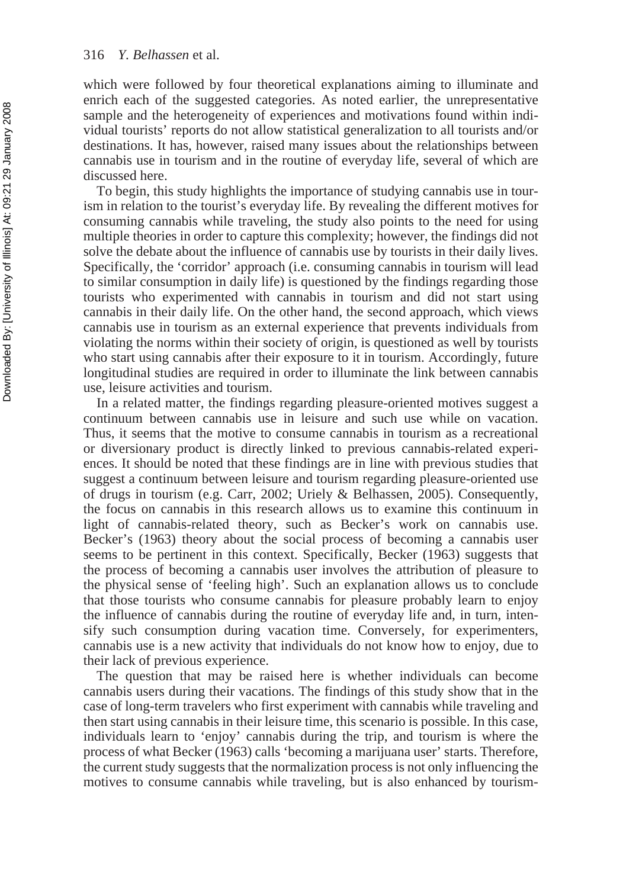which were followed by four theoretical explanations aiming to illuminate and enrich each of the suggested categories. As noted earlier, the unrepresentative sample and the heterogeneity of experiences and motivations found within individual tourists' reports do not allow statistical generalization to all tourists and/or destinations. It has, however, raised many issues about the relationships between cannabis use in tourism and in the routine of everyday life, several of which are discussed here.

To begin, this study highlights the importance of studying cannabis use in tourism in relation to the tourist's everyday life. By revealing the different motives for consuming cannabis while traveling, the study also points to the need for using multiple theories in order to capture this complexity; however, the findings did not solve the debate about the influence of cannabis use by tourists in their daily lives. Specifically, the 'corridor' approach (i.e. consuming cannabis in tourism will lead to similar consumption in daily life) is questioned by the findings regarding those tourists who experimented with cannabis in tourism and did not start using cannabis in their daily life. On the other hand, the second approach, which views cannabis use in tourism as an external experience that prevents individuals from violating the norms within their society of origin, is questioned as well by tourists who start using cannabis after their exposure to it in tourism. Accordingly, future longitudinal studies are required in order to illuminate the link between cannabis use, leisure activities and tourism.

In a related matter, the findings regarding pleasure-oriented motives suggest a continuum between cannabis use in leisure and such use while on vacation. Thus, it seems that the motive to consume cannabis in tourism as a recreational or diversionary product is directly linked to previous cannabis-related experiences. It should be noted that these findings are in line with previous studies that suggest a continuum between leisure and tourism regarding pleasure-oriented use of drugs in tourism (e.g. Carr, 2002; Uriely & Belhassen, 2005). Consequently, the focus on cannabis in this research allows us to examine this continuum in light of cannabis-related theory, such as Becker's work on cannabis use. Becker's (1963) theory about the social process of becoming a cannabis user seems to be pertinent in this context. Specifically, Becker (1963) suggests that the process of becoming a cannabis user involves the attribution of pleasure to the physical sense of 'feeling high'. Such an explanation allows us to conclude that those tourists who consume cannabis for pleasure probably learn to enjoy the influence of cannabis during the routine of everyday life and, in turn, intensify such consumption during vacation time. Conversely, for experimenters, cannabis use is a new activity that individuals do not know how to enjoy, due to their lack of previous experience.

The question that may be raised here is whether individuals can become cannabis users during their vacations. The findings of this study show that in the case of long-term travelers who first experiment with cannabis while traveling and then start using cannabis in their leisure time, this scenario is possible. In this case, individuals learn to 'enjoy' cannabis during the trip, and tourism is where the process of what Becker (1963) calls 'becoming a marijuana user' starts. Therefore, the current study suggests that the normalization process is not only influencing the motives to consume cannabis while traveling, but is also enhanced by tourism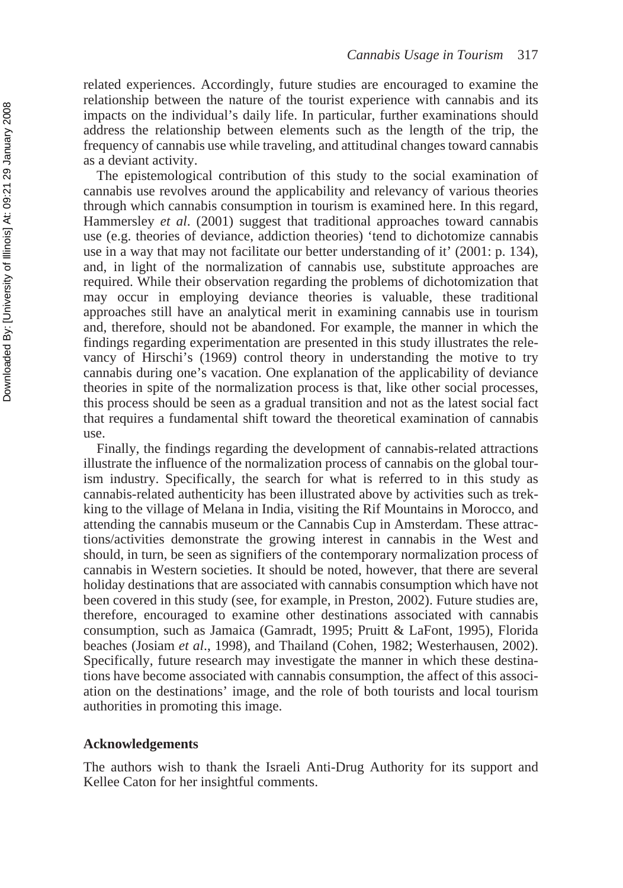related experiences. Accordingly, future studies are encouraged to examine the relationship between the nature of the tourist experience with cannabis and its impacts on the individual's daily life. In particular, further examinations should address the relationship between elements such as the length of the trip, the frequency of cannabis use while traveling, and attitudinal changes toward cannabis as a deviant activity.

The epistemological contribution of this study to the social examination of cannabis use revolves around the applicability and relevancy of various theories through which cannabis consumption in tourism is examined here. In this regard, Hammersley *et al*. (2001) suggest that traditional approaches toward cannabis use (e.g. theories of deviance, addiction theories) 'tend to dichotomize cannabis use in a way that may not facilitate our better understanding of it' (2001: p. 134), and, in light of the normalization of cannabis use, substitute approaches are required. While their observation regarding the problems of dichotomization that may occur in employing deviance theories is valuable, these traditional approaches still have an analytical merit in examining cannabis use in tourism and, therefore, should not be abandoned. For example, the manner in which the findings regarding experimentation are presented in this study illustrates the relevancy of Hirschi's (1969) control theory in understanding the motive to try cannabis during one's vacation. One explanation of the applicability of deviance theories in spite of the normalization process is that, like other social processes, this process should be seen as a gradual transition and not as the latest social fact that requires a fundamental shift toward the theoretical examination of cannabis use.

Finally, the findings regarding the development of cannabis-related attractions illustrate the influence of the normalization process of cannabis on the global tourism industry. Specifically, the search for what is referred to in this study as cannabis-related authenticity has been illustrated above by activities such as trekking to the village of Melana in India, visiting the Rif Mountains in Morocco, and attending the cannabis museum or the Cannabis Cup in Amsterdam. These attractions/activities demonstrate the growing interest in cannabis in the West and should, in turn, be seen as signifiers of the contemporary normalization process of cannabis in Western societies. It should be noted, however, that there are several holiday destinations that are associated with cannabis consumption which have not been covered in this study (see, for example, in Preston, 2002). Future studies are, therefore, encouraged to examine other destinations associated with cannabis consumption, such as Jamaica (Gamradt, 1995; Pruitt & LaFont, 1995), Florida beaches (Josiam *et al*., 1998), and Thailand (Cohen, 1982; Westerhausen, 2002). Specifically, future research may investigate the manner in which these destinations have become associated with cannabis consumption, the affect of this association on the destinations' image, and the role of both tourists and local tourism authorities in promoting this image.

#### **Acknowledgements**

The authors wish to thank the Israeli Anti-Drug Authority for its support and Kellee Caton for her insightful comments.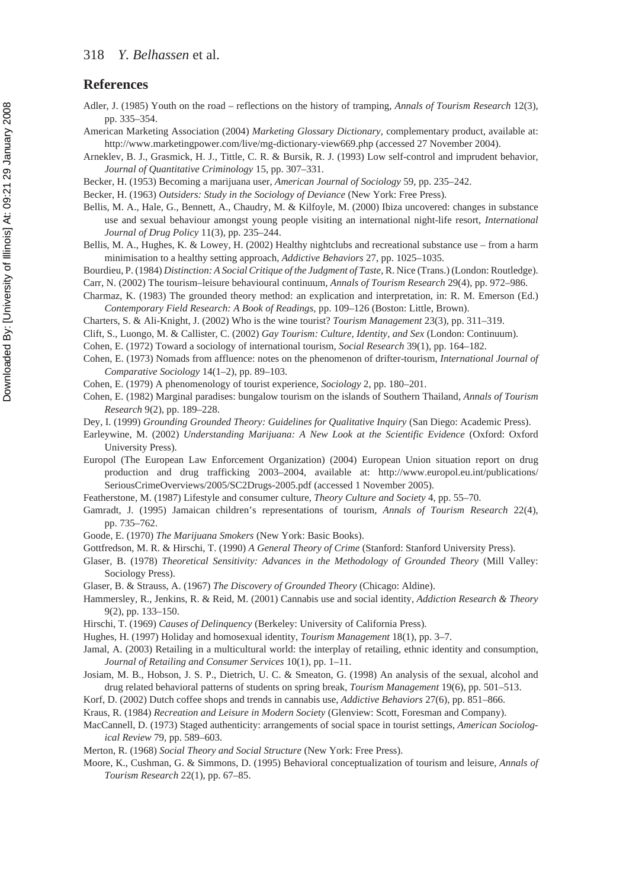#### **References**

- Adler, J. (1985) Youth on the road reflections on the history of tramping, *Annals of Tourism Research* 12(3), pp. 335–354.
- American Marketing Association (2004) *Marketing Glossary Dictionary,* complementary product, available at: http://www.marketingpower.com/live/mg-dictionary-view669.php (accessed 27 November 2004).
- Arneklev, B. J., Grasmick, H. J., Tittle, C. R. & Bursik, R. J. (1993) Low self-control and imprudent behavior, *Journal of Quantitative Criminology* 15, pp. 307–331.
- Becker, H. (1953) Becoming a marijuana user, *American Journal of Sociology* 59, pp. 235–242.
- Becker, H. (1963) *Outsiders: Study in the Sociology of Deviance* (New York: Free Press).
- Bellis, M. A., Hale, G., Bennett, A., Chaudry, M. & Kilfoyle, M. (2000) Ibiza uncovered: changes in substance use and sexual behaviour amongst young people visiting an international night-life resort, *International Journal of Drug Policy* 11(3), pp. 235–244.
- Bellis, M. A., Hughes, K. & Lowey, H. (2002) Healthy nightclubs and recreational substance use from a harm minimisation to a healthy setting approach, *Addictive Behaviors* 27, pp. 1025–1035.
- Bourdieu, P. (1984) *Distinction: A Social Critique of the Judgment of Taste,* R. Nice (Trans.) (London: Routledge).
- Carr, N. (2002) The tourism–leisure behavioural continuum, *Annals of Tourism Research* 29(4), pp. 972–986.
- Charmaz, K. (1983) The grounded theory method: an explication and interpretation, in: R. M. Emerson (Ed.) *Contemporary Field Research: A Book of Readings,* pp. 109–126 (Boston: Little, Brown).
- Charters, S. & Ali-Knight, J. (2002) Who is the wine tourist? *Tourism Management* 23(3), pp. 311–319.
- Clift, S., Luongo, M. & Callister, C. (2002) *Gay Tourism: Culture, Identity, and Sex* (London: Continuum).
- Cohen, E. (1972) Toward a sociology of international tourism, *Social Research* 39(1), pp. 164–182.
- Cohen, E. (1973) Nomads from affluence: notes on the phenomenon of drifter-tourism, *International Journal of Comparative Sociology* 14(1–2), pp. 89–103.
- Cohen, E. (1979) A phenomenology of tourist experience, *Sociology* 2, pp. 180–201.
- Cohen, E. (1982) Marginal paradises: bungalow tourism on the islands of Southern Thailand, *Annals of Tourism Research* 9(2), pp. 189–228.
- Dey, I. (1999) *Grounding Grounded Theory: Guidelines for Qualitative Inquiry* (San Diego: Academic Press).
- Earleywine, M. (2002) *Understanding Marijuana: A New Look at the Scientific Evidence* (Oxford: Oxford University Press).
- Europol (The European Law Enforcement Organization) (2004) European Union situation report on drug production and drug trafficking 2003–2004, available at: http://www.europol.eu.int/publications/ SeriousCrimeOverviews/2005/SC2Drugs-2005.pdf (accessed 1 November 2005).
- Featherstone, M. (1987) Lifestyle and consumer culture, *Theory Culture and Society* 4, pp. 55–70.
- Gamradt, J. (1995) Jamaican children's representations of tourism, *Annals of Tourism Research* 22(4), pp. 735–762.
- Goode, E. (1970) *The Marijuana Smokers* (New York: Basic Books).
- Gottfredson, M. R. & Hirschi, T. (1990) *A General Theory of Crime* (Stanford: Stanford University Press).
- Glaser, B. (1978) *Theoretical Sensitivity: Advances in the Methodology of Grounded Theory* (Mill Valley: Sociology Press).
- Glaser, B. & Strauss, A. (1967) *The Discovery of Grounded Theory* (Chicago: Aldine).
- Hammersley, R., Jenkins, R. & Reid, M. (2001) Cannabis use and social identity, *Addiction Research & Theory* 9(2), pp. 133–150.
- Hirschi, T. (1969) *Causes of Delinquency* (Berkeley: University of California Press).
- Hughes, H. (1997) Holiday and homosexual identity, *Tourism Management* 18(1), pp. 3–7.
- Jamal, A. (2003) Retailing in a multicultural world: the interplay of retailing, ethnic identity and consumption, *Journal of Retailing and Consumer Services* 10(1), pp. 1–11.

Josiam, M. B., Hobson, J. S. P., Dietrich, U. C. & Smeaton, G. (1998) An analysis of the sexual, alcohol and drug related behavioral patterns of students on spring break, *Tourism Management* 19(6), pp. 501–513.

- Korf, D. (2002) Dutch coffee shops and trends in cannabis use, *Addictive Behaviors* 27(6), pp. 851–866.
- Kraus, R. (1984) *Recreation and Leisure in Modern Society* (Glenview: Scott, Foresman and Company).
- MacCannell, D. (1973) Staged authenticity: arrangements of social space in tourist settings, *American Sociological Review* 79, pp. 589–603.
- Merton, R. (1968) *Social Theory and Social Structure* (New York: Free Press).
- Moore, K., Cushman, G. & Simmons, D. (1995) Behavioral conceptualization of tourism and leisure, *Annals of Tourism Research* 22(1), pp. 67–85.